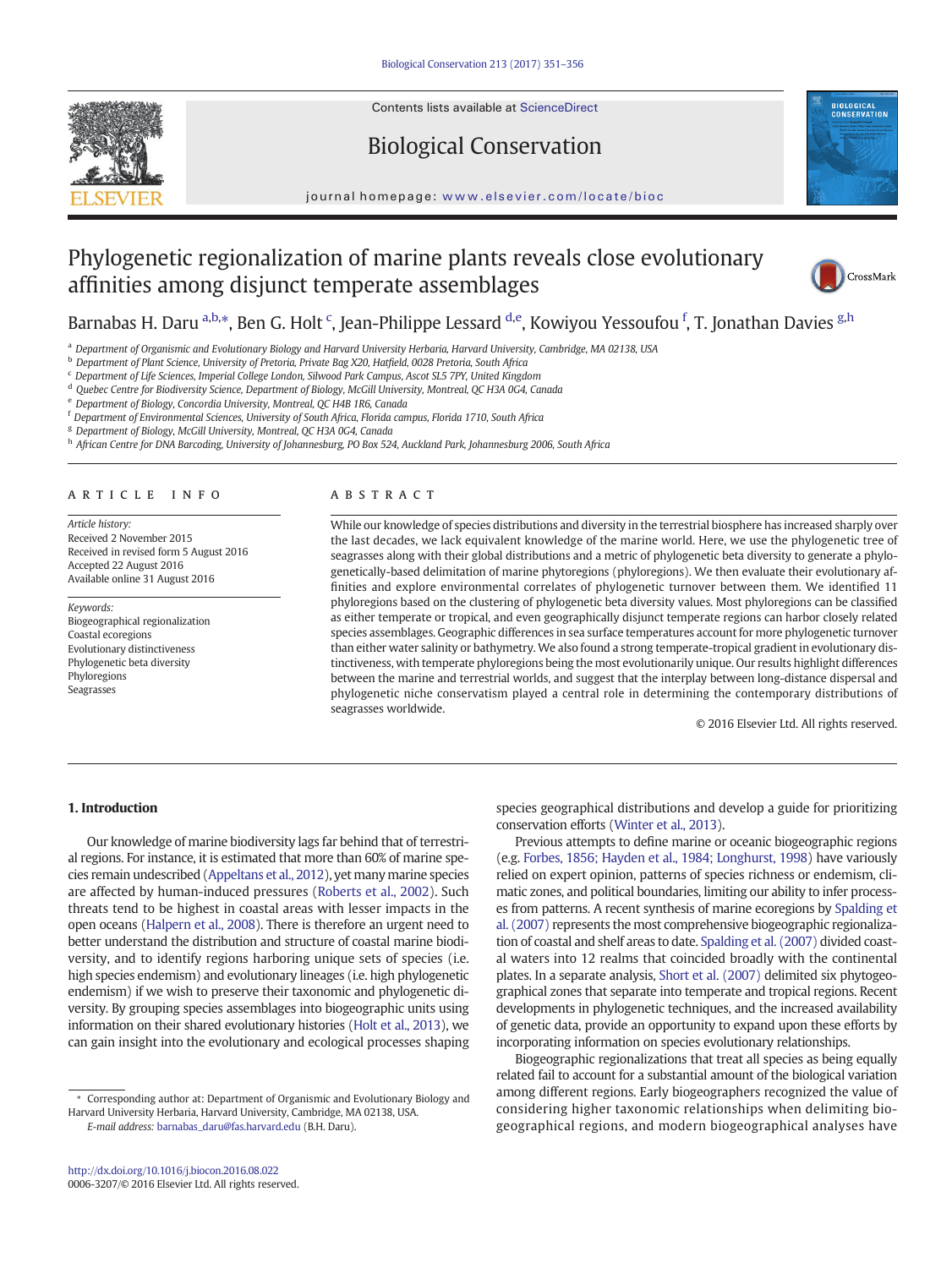Contents lists available at ScienceDirect

## Biological Conservation



journal homepage: <www.elsevier.com/locate/bioc>

# Phylogenetic regionalization of marine plants reveals close evolutionary affinities among disjunct temperate assemblages



Barnabas H. Daru <sup>a,b,</sup>\*, Ben G. Holt <sup>c</sup>, Jean-Philippe Lessard <sup>d,e</sup>, Kowiyou Yessoufou <sup>f</sup>, T. Jonathan Davies <sup>g,h</sup>

a Department of Organismic and Evolutionary Biology and Harvard University Herbaria, Harvard University, Cambridge, MA 02138, USA

<sup>b</sup> Department of Plant Science, University of Pretoria, Private Bag X20, Hatfield, 0028 Pretoria, South Africa

<sup>c</sup> Department of Life Sciences, Imperial College London, Silwood Park Campus, Ascot SL5 7PY, United Kingdom

<sup>d</sup> Quebec Centre for Biodiversity Science, Department of Biology, McGill University, Montreal, QC H3A 0G4, Canada

<sup>e</sup> Department of Biology, Concordia University, Montreal, QC H4B 1R6, Canada

<sup>f</sup> Department of Environmental Sciences, University of South Africa, Florida campus, Florida 1710, South Africa

<sup>g</sup> Department of Biology, McGill University, Montreal, QC H3A 0G4, Canada

h African Centre for DNA Barcoding, University of Johannesburg, PO Box 524, Auckland Park, Johannesburg 2006, South Africa

### article info abstract

Article history: Received 2 November 2015 Received in revised form 5 August 2016 Accepted 22 August 2016 Available online 31 August 2016

Keywords: Biogeographical regionalization Coastal ecoregions Evolutionary distinctiveness Phylogenetic beta diversity Phyloregions Seagrasses

While our knowledge of species distributions and diversity in the terrestrial biosphere has increased sharply over the last decades, we lack equivalent knowledge of the marine world. Here, we use the phylogenetic tree of seagrasses along with their global distributions and a metric of phylogenetic beta diversity to generate a phylogenetically-based delimitation of marine phytoregions (phyloregions). We then evaluate their evolutionary affinities and explore environmental correlates of phylogenetic turnover between them. We identified 11 phyloregions based on the clustering of phylogenetic beta diversity values. Most phyloregions can be classified as either temperate or tropical, and even geographically disjunct temperate regions can harbor closely related species assemblages. Geographic differences in sea surface temperatures account for more phylogenetic turnover than either water salinity or bathymetry. We also found a strong temperate-tropical gradient in evolutionary distinctiveness, with temperate phyloregions being the most evolutionarily unique. Our results highlight differences between the marine and terrestrial worlds, and suggest that the interplay between long-distance dispersal and phylogenetic niche conservatism played a central role in determining the contemporary distributions of seagrasses worldwide.

© 2016 Elsevier Ltd. All rights reserved.

### 1. Introduction

Our knowledge of marine biodiversity lags far behind that of terrestrial regions. For instance, it is estimated that more than 60% of marine species remain undescribed [\(Appeltans et al., 2012\)](#page-4-0), yet many marine species are affected by human-induced pressures ([Roberts et al., 2002\)](#page-5-0). Such threats tend to be highest in coastal areas with lesser impacts in the open oceans ([Halpern et al., 2008\)](#page-4-0). There is therefore an urgent need to better understand the distribution and structure of coastal marine biodiversity, and to identify regions harboring unique sets of species (i.e. high species endemism) and evolutionary lineages (i.e. high phylogenetic endemism) if we wish to preserve their taxonomic and phylogenetic diversity. By grouping species assemblages into biogeographic units using information on their shared evolutionary histories [\(Holt et al., 2013\)](#page-4-0), we can gain insight into the evolutionary and ecological processes shaping

⁎ Corresponding author at: Department of Organismic and Evolutionary Biology and Harvard University Herbaria, Harvard University, Cambridge, MA 02138, USA. E-mail address: [barnabas\\_daru@fas.harvard.edu](mailto:barnabas_daru@fas.harvard.edu) (B.H. Daru).

<http://dx.doi.org/10.1016/j.biocon.2016.08.022> 0006-3207/© 2016 Elsevier Ltd. All rights reserved. species geographical distributions and develop a guide for prioritizing conservation efforts [\(Winter et al., 2013\)](#page-5-0).

Previous attempts to define marine or oceanic biogeographic regions (e.g. [Forbes, 1856; Hayden et al., 1984; Longhurst, 1998](#page-4-0)) have variously relied on expert opinion, patterns of species richness or endemism, climatic zones, and political boundaries, limiting our ability to infer processes from patterns. A recent synthesis of marine ecoregions by [Spalding et](#page-5-0) [al. \(2007\)](#page-5-0) represents the most comprehensive biogeographic regionalization of coastal and shelf areas to date. [Spalding et al. \(2007\)](#page-5-0) divided coastal waters into 12 realms that coincided broadly with the continental plates. In a separate analysis, [Short et al. \(2007\)](#page-5-0) delimited six phytogeographical zones that separate into temperate and tropical regions. Recent developments in phylogenetic techniques, and the increased availability of genetic data, provide an opportunity to expand upon these efforts by incorporating information on species evolutionary relationships.

Biogeographic regionalizations that treat all species as being equally related fail to account for a substantial amount of the biological variation among different regions. Early biogeographers recognized the value of considering higher taxonomic relationships when delimiting biogeographical regions, and modern biogeographical analyses have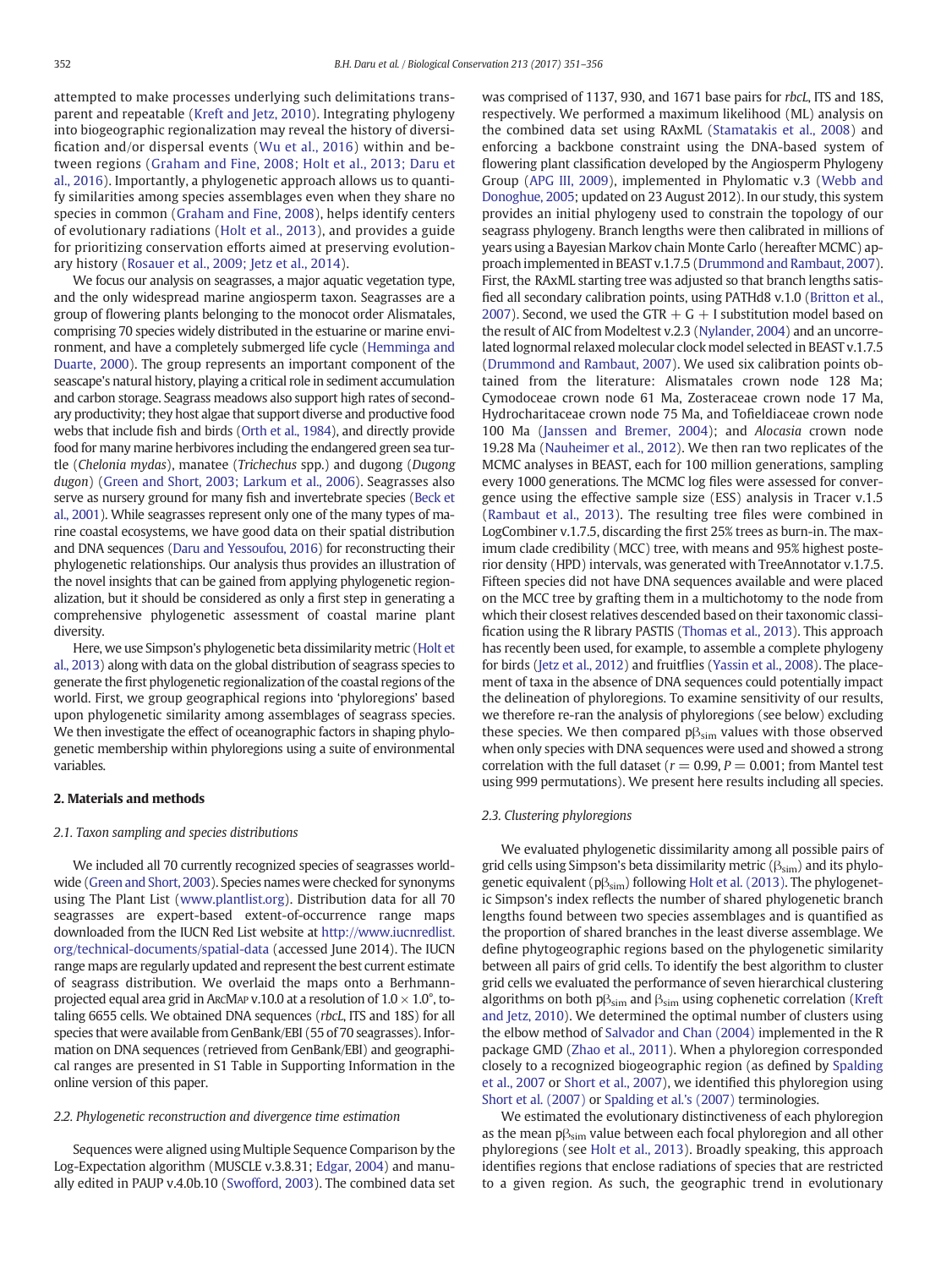attempted to make processes underlying such delimitations transparent and repeatable [\(Kreft and Jetz, 2010\)](#page-4-0). Integrating phylogeny into biogeographic regionalization may reveal the history of diversification and/or dispersal events ([Wu et al., 2016](#page-5-0)) within and between regions ([Graham and Fine, 2008; Holt et al., 2013; Daru et](#page-4-0) [al., 2016\)](#page-4-0). Importantly, a phylogenetic approach allows us to quantify similarities among species assemblages even when they share no species in common ([Graham and Fine, 2008\)](#page-4-0), helps identify centers of evolutionary radiations ([Holt et al., 2013](#page-4-0)), and provides a guide for prioritizing conservation efforts aimed at preserving evolutionary history ([Rosauer et al., 2009; Jetz et al., 2014](#page-5-0)).

We focus our analysis on seagrasses, a major aquatic vegetation type, and the only widespread marine angiosperm taxon. Seagrasses are a group of flowering plants belonging to the monocot order Alismatales, comprising 70 species widely distributed in the estuarine or marine environment, and have a completely submerged life cycle ([Hemminga and](#page-4-0) [Duarte, 2000\)](#page-4-0). The group represents an important component of the seascape's natural history, playing a critical role in sediment accumulation and carbon storage. Seagrass meadows also support high rates of secondary productivity; they host algae that support diverse and productive food webs that include fish and birds [\(Orth et al., 1984](#page-4-0)), and directly provide food for many marine herbivores including the endangered green sea turtle (Chelonia mydas), manatee (Trichechus spp.) and dugong (Dugong dugon) ([Green and Short, 2003; Larkum et al., 2006](#page-4-0)). Seagrasses also serve as nursery ground for many fish and invertebrate species [\(Beck et](#page-4-0) [al., 2001](#page-4-0)). While seagrasses represent only one of the many types of marine coastal ecosystems, we have good data on their spatial distribution and DNA sequences [\(Daru and Yessoufou, 2016\)](#page-4-0) for reconstructing their phylogenetic relationships. Our analysis thus provides an illustration of the novel insights that can be gained from applying phylogenetic regionalization, but it should be considered as only a first step in generating a comprehensive phylogenetic assessment of coastal marine plant diversity.

Here, we use Simpson's phylogenetic beta dissimilarity metric ([Holt et](#page-4-0) [al., 2013](#page-4-0)) along with data on the global distribution of seagrass species to generate the first phylogenetic regionalization of the coastal regions of the world. First, we group geographical regions into 'phyloregions' based upon phylogenetic similarity among assemblages of seagrass species. We then investigate the effect of oceanographic factors in shaping phylogenetic membership within phyloregions using a suite of environmental variables.

#### 2. Materials and methods

#### 2.1. Taxon sampling and species distributions

We included all 70 currently recognized species of seagrasses worldwide [\(Green and Short, 2003\)](#page-4-0). Species names were checked for synonyms using The Plant List ([www.plantlist.org\)](http://www.plantlist.org). Distribution data for all 70 seagrasses are expert-based extent-of-occurrence range maps downloaded from the IUCN Red List website at [http://www.iucnredlist.](http://www.iucnredlist.org/technical-documents/spatial-data) [org/technical-documents/spatial-data](http://www.iucnredlist.org/technical-documents/spatial-data) (accessed June 2014). The IUCN range maps are regularly updated and represent the best current estimate of seagrass distribution. We overlaid the maps onto a Berhmannprojected equal area grid in ArcMAP v.10.0 at a resolution of  $1.0 \times 1.0^{\circ}$ , totaling 6655 cells. We obtained DNA sequences (rbcL, ITS and 18S) for all species that were available from GenBank/EBI (55 of 70 seagrasses). Information on DNA sequences (retrieved from GenBank/EBI) and geographical ranges are presented in S1 Table in Supporting Information in the online version of this paper.

#### 2.2. Phylogenetic reconstruction and divergence time estimation

Sequences were aligned using Multiple Sequence Comparison by the Log-Expectation algorithm (MUSCLE v.3.8.31; [Edgar, 2004\)](#page-4-0) and manually edited in PAUP v.4.0b.10 [\(Swofford, 2003](#page-5-0)). The combined data set was comprised of 1137, 930, and 1671 base pairs for rbcL, ITS and 18S, respectively. We performed a maximum likelihood (ML) analysis on the combined data set using RAxML [\(Stamatakis et al., 2008](#page-5-0)) and enforcing a backbone constraint using the DNA-based system of flowering plant classification developed by the Angiosperm Phylogeny Group [\(APG III, 2009\)](#page-4-0), implemented in Phylomatic v.3 [\(Webb and](#page-5-0) [Donoghue, 2005](#page-5-0); updated on 23 August 2012). In our study, this system provides an initial phylogeny used to constrain the topology of our seagrass phylogeny. Branch lengths were then calibrated in millions of years using a Bayesian Markov chain Monte Carlo (hereafter MCMC) approach implemented in BEAST v.1.7.5 [\(Drummond and Rambaut, 2007\)](#page-4-0). First, the RAxML starting tree was adjusted so that branch lengths satisfied all secondary calibration points, using PATHd8 v.1.0 [\(Britton et al.,](#page-4-0) [2007\)](#page-4-0). Second, we used the GTR  $+$  G  $+$  I substitution model based on the result of AIC from Modeltest v.2.3 [\(Nylander, 2004](#page-4-0)) and an uncorrelated lognormal relaxed molecular clock model selected in BEAST v.1.7.5 [\(Drummond and Rambaut, 2007](#page-4-0)). We used six calibration points obtained from the literature: Alismatales crown node 128 Ma; Cymodoceae crown node 61 Ma, Zosteraceae crown node 17 Ma, Hydrocharitaceae crown node 75 Ma, and Tofieldiaceae crown node 100 Ma [\(Janssen and Bremer, 2004](#page-4-0)); and Alocasia crown node 19.28 Ma [\(Nauheimer et al., 2012](#page-4-0)). We then ran two replicates of the MCMC analyses in BEAST, each for 100 million generations, sampling every 1000 generations. The MCMC log files were assessed for convergence using the effective sample size (ESS) analysis in Tracer v.1.5 [\(Rambaut et al., 2013\)](#page-5-0). The resulting tree files were combined in LogCombiner v.1.7.5, discarding the first 25% trees as burn-in. The maximum clade credibility (MCC) tree, with means and 95% highest posterior density (HPD) intervals, was generated with TreeAnnotator v.1.7.5. Fifteen species did not have DNA sequences available and were placed on the MCC tree by grafting them in a multichotomy to the node from which their closest relatives descended based on their taxonomic classification using the R library PASTIS [\(Thomas et al., 2013\)](#page-5-0). This approach has recently been used, for example, to assemble a complete phylogeny for birds [\(Jetz et al., 2012](#page-4-0)) and fruitflies [\(Yassin et al., 2008\)](#page-5-0). The placement of taxa in the absence of DNA sequences could potentially impact the delineation of phyloregions. To examine sensitivity of our results, we therefore re-ran the analysis of phyloregions (see below) excluding these species. We then compared  $p\beta_{sim}$  values with those observed when only species with DNA sequences were used and showed a strong correlation with the full dataset ( $r = 0.99$ ,  $P = 0.001$ ; from Mantel test using 999 permutations). We present here results including all species.

#### 2.3. Clustering phyloregions

We evaluated phylogenetic dissimilarity among all possible pairs of grid cells using Simpson's beta dissimilarity metric  $(\beta_{sim})$  and its phylogenetic equivalent ( $p\beta_{sim}$ ) following [Holt et al. \(2013\)](#page-4-0). The phylogenetic Simpson's index reflects the number of shared phylogenetic branch lengths found between two species assemblages and is quantified as the proportion of shared branches in the least diverse assemblage. We define phytogeographic regions based on the phylogenetic similarity between all pairs of grid cells. To identify the best algorithm to cluster grid cells we evaluated the performance of seven hierarchical clustering algorithms on both  $p\beta_{sim}$  and  $\beta_{sim}$  using cophenetic correlation [\(Kreft](#page-4-0) [and Jetz, 2010\)](#page-4-0). We determined the optimal number of clusters using the elbow method of [Salvador and Chan \(2004\)](#page-5-0) implemented in the R package GMD ([Zhao et al., 2011](#page-5-0)). When a phyloregion corresponded closely to a recognized biogeographic region (as defined by [Spalding](#page-5-0) [et al., 2007](#page-5-0) or [Short et al., 2007](#page-5-0)), we identified this phyloregion using [Short et al. \(2007\)](#page-5-0) or [Spalding et al.'s \(2007\)](#page-5-0) terminologies.

We estimated the evolutionary distinctiveness of each phyloregion as the mean pβ<sub>sim</sub> value between each focal phyloregion and all other phyloregions (see [Holt et al., 2013\)](#page-4-0). Broadly speaking, this approach identifies regions that enclose radiations of species that are restricted to a given region. As such, the geographic trend in evolutionary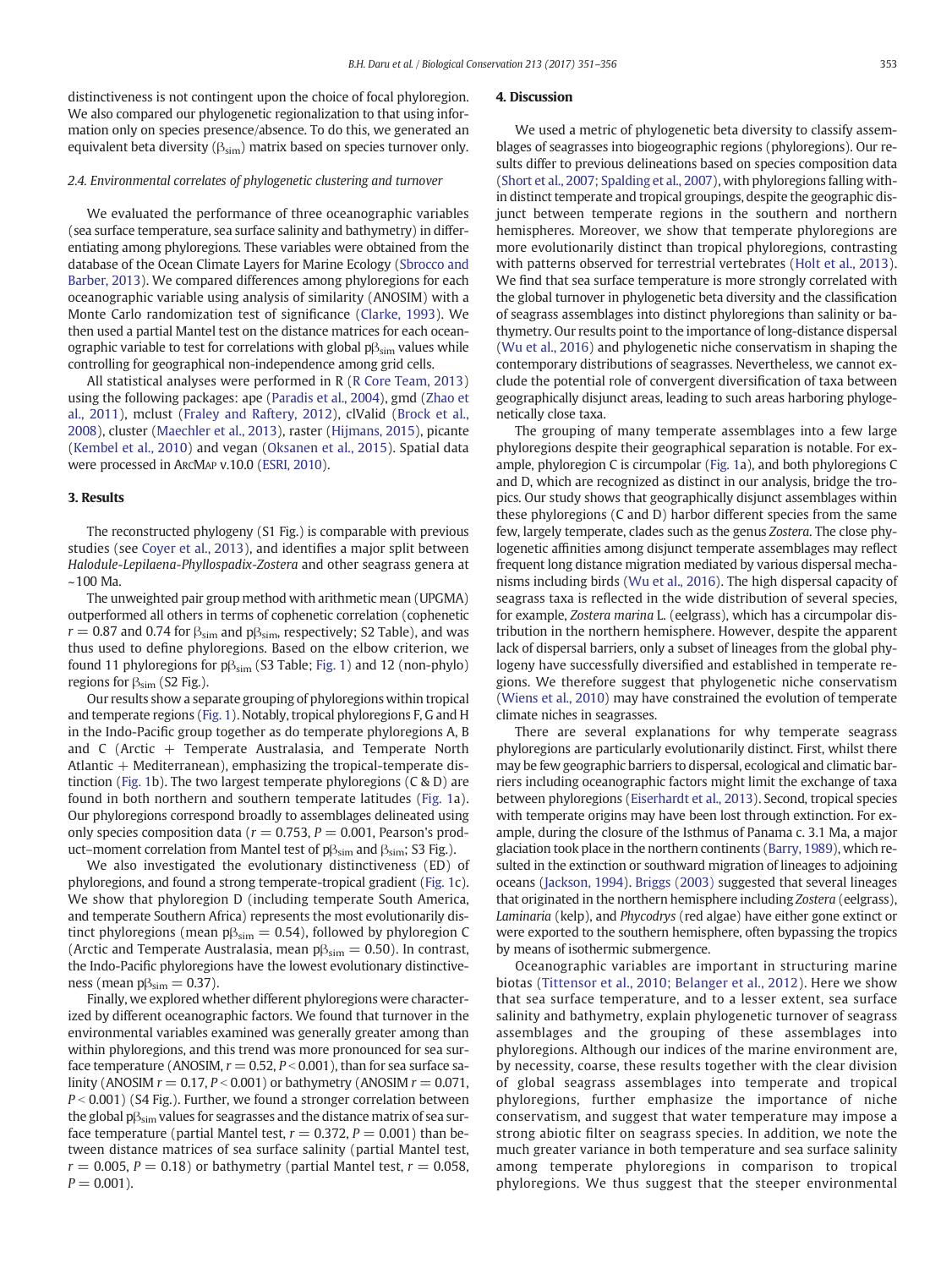distinctiveness is not contingent upon the choice of focal phyloregion. We also compared our phylogenetic regionalization to that using information only on species presence/absence. To do this, we generated an equivalent beta diversity ( $\beta_{sim}$ ) matrix based on species turnover only.

#### 2.4. Environmental correlates of phylogenetic clustering and turnover

We evaluated the performance of three oceanographic variables (sea surface temperature, sea surface salinity and bathymetry) in differentiating among phyloregions. These variables were obtained from the database of the Ocean Climate Layers for Marine Ecology [\(Sbrocco and](#page-5-0) [Barber, 2013\)](#page-5-0). We compared differences among phyloregions for each oceanographic variable using analysis of similarity (ANOSIM) with a Monte Carlo randomization test of significance ([Clarke, 1993\)](#page-4-0). We then used a partial Mantel test on the distance matrices for each oceanographic variable to test for correlations with global pβ<sub>sim</sub> values while controlling for geographical non-independence among grid cells.

All statistical analyses were performed in R ([R Core Team, 2013](#page-5-0)) using the following packages: ape [\(Paradis et al., 2004](#page-4-0)), gmd ([Zhao et](#page-5-0) [al., 2011\)](#page-5-0), mclust ([Fraley and Raftery, 2012\)](#page-4-0), clValid ([Brock et al.,](#page-4-0) [2008\)](#page-4-0), cluster [\(Maechler et al., 2013](#page-4-0)), raster [\(Hijmans, 2015\)](#page-4-0), picante [\(Kembel et al., 2010](#page-4-0)) and vegan [\(Oksanen et al., 2015](#page-4-0)). Spatial data were processed in ARCMAP v.10.0 [\(ESRI, 2010](#page-4-0)).

#### 3. Results

The reconstructed phylogeny (S1 Fig.) is comparable with previous studies (see [Coyer et al., 2013\)](#page-4-0), and identifies a major split between Halodule-Lepilaena-Phyllospadix-Zostera and other seagrass genera at ~100 Ma.

The unweighted pair group method with arithmetic mean (UPGMA) outperformed all others in terms of cophenetic correlation (cophenetic  $r = 0.87$  and 0.74 for  $\beta_{\text{sim}}$  and  $p\beta_{\text{sim}}$ , respectively; S2 Table), and was thus used to define phyloregions. Based on the elbow criterion, we found 11 phyloregions for  $p\beta_{sim}$  (S3 Table; [Fig. 1\)](#page-3-0) and 12 (non-phylo) regions for  $\beta_{sim}$  (S2 Fig.).

Our results show a separate grouping of phyloregions within tropical and temperate regions ([Fig. 1\)](#page-3-0). Notably, tropical phyloregions F, G and H in the Indo-Pacific group together as do temperate phyloregions A, B and C (Arctic  $+$  Temperate Australasia, and Temperate North Atlantic  $+$  Mediterranean), emphasizing the tropical-temperate distinction [\(Fig. 1](#page-3-0)b). The two largest temperate phyloregions (C & D) are found in both northern and southern temperate latitudes ([Fig. 1](#page-3-0)a). Our phyloregions correspond broadly to assemblages delineated using only species composition data ( $r = 0.753$ ,  $P = 0.001$ , Pearson's product–moment correlation from Mantel test of  $p\beta_{sim}$  and  $\beta_{sim}$ ; S3 Fig.).

We also investigated the evolutionary distinctiveness (ED) of phyloregions, and found a strong temperate-tropical gradient [\(Fig. 1c](#page-3-0)). We show that phyloregion D (including temperate South America, and temperate Southern Africa) represents the most evolutionarily distinct phyloregions (mean  $p\beta_{sim} = 0.54$ ), followed by phyloregion C (Arctic and Temperate Australasia, mean  $p\beta_{sim} = 0.50$ ). In contrast, the Indo-Pacific phyloregions have the lowest evolutionary distinctiveness (mean  $p\beta_{sim} = 0.37$ ).

Finally, we explored whether different phyloregions were characterized by different oceanographic factors. We found that turnover in the environmental variables examined was generally greater among than within phyloregions, and this trend was more pronounced for sea surface temperature (ANOSIM,  $r = 0.52$ ,  $P < 0.001$ ), than for sea surface salinity (ANOSIM  $r = 0.17$ ,  $P < 0.001$ ) or bathymetry (ANOSIM  $r = 0.071$ ,  $P < 0.001$ ) (S4 Fig.). Further, we found a stronger correlation between the global  $p_{sim}$  values for seagrasses and the distance matrix of sea surface temperature (partial Mantel test,  $r = 0.372$ ,  $P = 0.001$ ) than between distance matrices of sea surface salinity (partial Mantel test,  $r = 0.005$ ,  $P = 0.18$ ) or bathymetry (partial Mantel test,  $r = 0.058$ ,  $P = 0.001$ ).

#### 4. Discussion

We used a metric of phylogenetic beta diversity to classify assemblages of seagrasses into biogeographic regions (phyloregions). Our results differ to previous delineations based on species composition data [\(Short et al., 2007; Spalding et al., 2007\)](#page-5-0), with phyloregions falling within distinct temperate and tropical groupings, despite the geographic disjunct between temperate regions in the southern and northern hemispheres. Moreover, we show that temperate phyloregions are more evolutionarily distinct than tropical phyloregions, contrasting with patterns observed for terrestrial vertebrates ([Holt et al., 2013](#page-4-0)). We find that sea surface temperature is more strongly correlated with the global turnover in phylogenetic beta diversity and the classification of seagrass assemblages into distinct phyloregions than salinity or bathymetry. Our results point to the importance of long-distance dispersal [\(Wu et al., 2016](#page-5-0)) and phylogenetic niche conservatism in shaping the contemporary distributions of seagrasses. Nevertheless, we cannot exclude the potential role of convergent diversification of taxa between geographically disjunct areas, leading to such areas harboring phylogenetically close taxa.

The grouping of many temperate assemblages into a few large phyloregions despite their geographical separation is notable. For example, phyloregion C is circumpolar [\(Fig. 1](#page-3-0)a), and both phyloregions C and D, which are recognized as distinct in our analysis, bridge the tropics. Our study shows that geographically disjunct assemblages within these phyloregions (C and D) harbor different species from the same few, largely temperate, clades such as the genus Zostera. The close phylogenetic affinities among disjunct temperate assemblages may reflect frequent long distance migration mediated by various dispersal mechanisms including birds [\(Wu et al., 2016\)](#page-5-0). The high dispersal capacity of seagrass taxa is reflected in the wide distribution of several species, for example, Zostera marina L. (eelgrass), which has a circumpolar distribution in the northern hemisphere. However, despite the apparent lack of dispersal barriers, only a subset of lineages from the global phylogeny have successfully diversified and established in temperate regions. We therefore suggest that phylogenetic niche conservatism [\(Wiens et al., 2010](#page-5-0)) may have constrained the evolution of temperate climate niches in seagrasses.

There are several explanations for why temperate seagrass phyloregions are particularly evolutionarily distinct. First, whilst there may be few geographic barriers to dispersal, ecological and climatic barriers including oceanographic factors might limit the exchange of taxa between phyloregions ([Eiserhardt et al., 2013](#page-4-0)). Second, tropical species with temperate origins may have been lost through extinction. For example, during the closure of the Isthmus of Panama c. 3.1 Ma, a major glaciation took place in the northern continents ([Barry, 1989](#page-4-0)), which resulted in the extinction or southward migration of lineages to adjoining oceans ([Jackson, 1994](#page-4-0)). [Briggs \(2003\)](#page-4-0) suggested that several lineages that originated in the northern hemisphere including Zostera (eelgrass), Laminaria (kelp), and Phycodrys (red algae) have either gone extinct or were exported to the southern hemisphere, often bypassing the tropics by means of isothermic submergence.

Oceanographic variables are important in structuring marine biotas [\(Tittensor et al., 2010; Belanger et al., 2012\)](#page-5-0). Here we show that sea surface temperature, and to a lesser extent, sea surface salinity and bathymetry, explain phylogenetic turnover of seagrass assemblages and the grouping of these assemblages into phyloregions. Although our indices of the marine environment are, by necessity, coarse, these results together with the clear division of global seagrass assemblages into temperate and tropical phyloregions, further emphasize the importance of niche conservatism, and suggest that water temperature may impose a strong abiotic filter on seagrass species. In addition, we note the much greater variance in both temperature and sea surface salinity among temperate phyloregions in comparison to tropical phyloregions. We thus suggest that the steeper environmental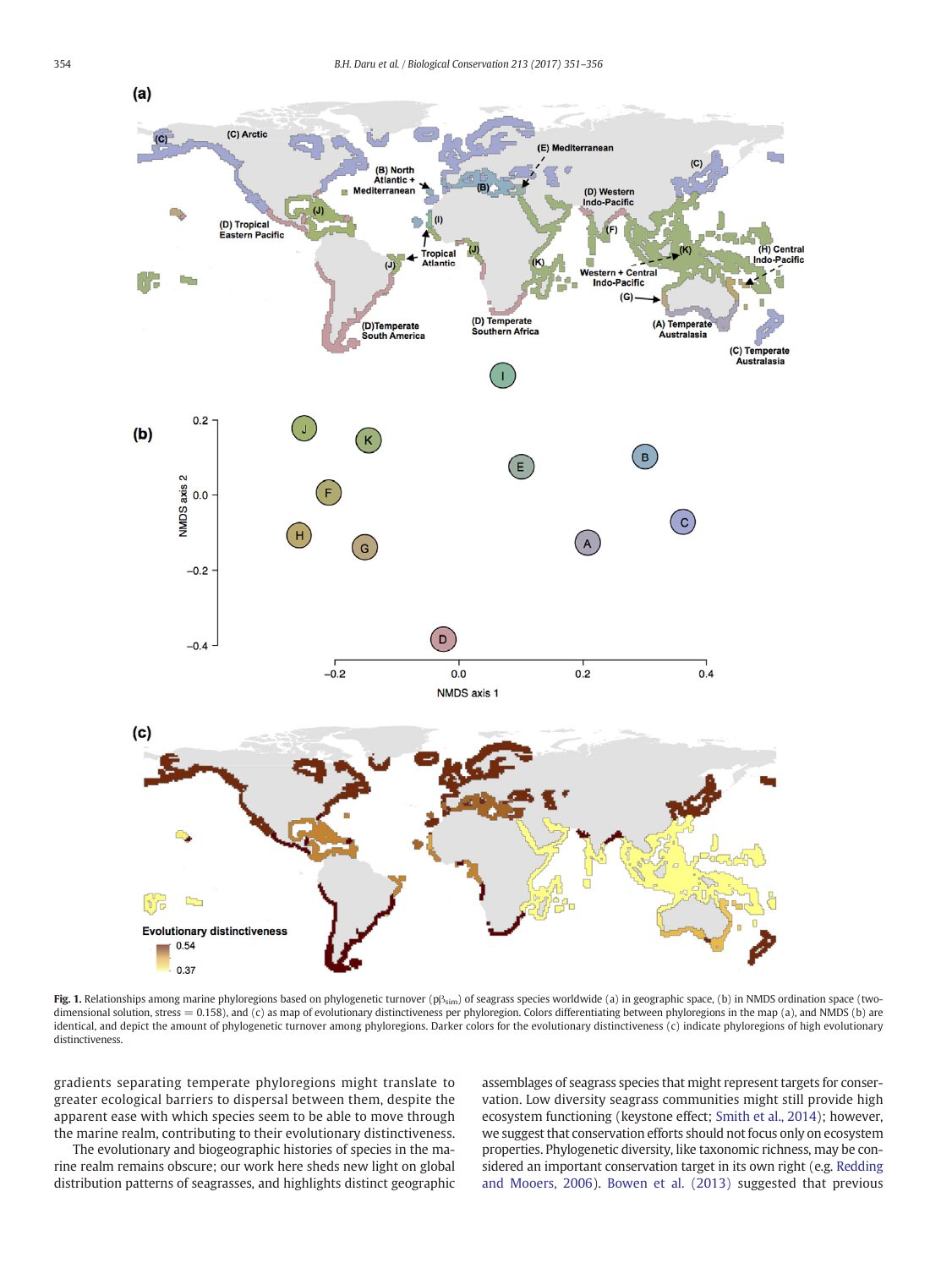<span id="page-3-0"></span>

Fig. 1. Relationships among marine phyloregions based on phylogenetic turnover (p $\beta_{sim}$ ) of seagrass species worldwide (a) in geographic space, (b) in NMDS ordination space (twodimensional solution, stress = 0.158), and (c) as map of evolutionary distinctiveness per phyloregion. Colors differentiating between phyloregions in the map (a), and NMDS (b) are identical, and depict the amount of phylogenetic turnover among phyloregions. Darker colors for the evolutionary distinctiveness (c) indicate phyloregions of high evolutionary distinctiveness.

gradients separating temperate phyloregions might translate to greater ecological barriers to dispersal between them, despite the apparent ease with which species seem to be able to move through the marine realm, contributing to their evolutionary distinctiveness.

The evolutionary and biogeographic histories of species in the marine realm remains obscure; our work here sheds new light on global distribution patterns of seagrasses, and highlights distinct geographic assemblages of seagrass species that might represent targets for conservation. Low diversity seagrass communities might still provide high ecosystem functioning (keystone effect; [Smith et al., 2014\)](#page-5-0); however, we suggest that conservation efforts should not focus only on ecosystem properties. Phylogenetic diversity, like taxonomic richness, may be considered an important conservation target in its own right (e.g. [Redding](#page-5-0) [and Mooers, 2006\)](#page-5-0). [Bowen et al. \(2013\)](#page-4-0) suggested that previous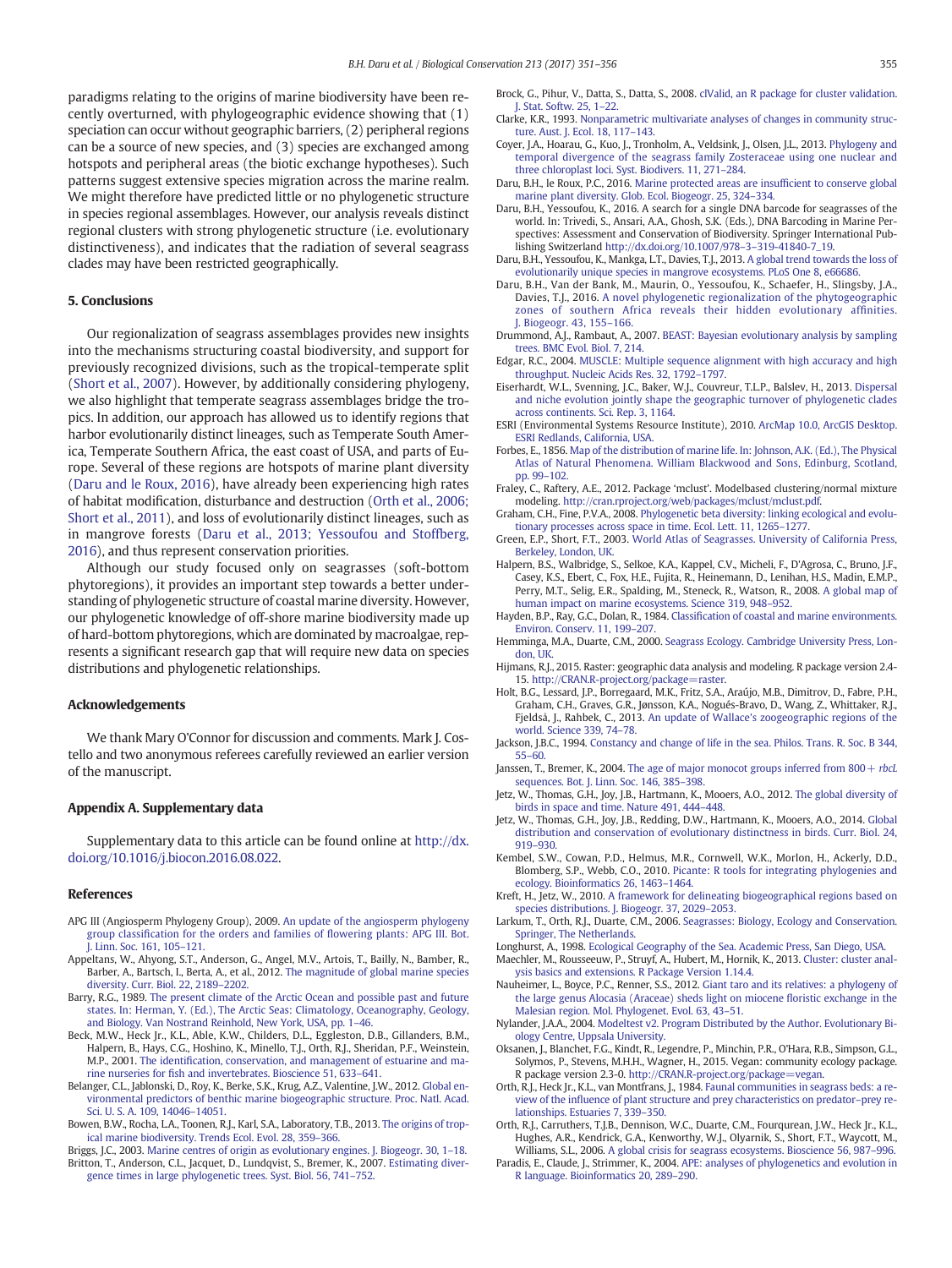<span id="page-4-0"></span>paradigms relating to the origins of marine biodiversity have been recently overturned, with phylogeographic evidence showing that (1) speciation can occur without geographic barriers, (2) peripheral regions can be a source of new species, and (3) species are exchanged among hotspots and peripheral areas (the biotic exchange hypotheses). Such patterns suggest extensive species migration across the marine realm. We might therefore have predicted little or no phylogenetic structure in species regional assemblages. However, our analysis reveals distinct regional clusters with strong phylogenetic structure (i.e. evolutionary distinctiveness), and indicates that the radiation of several seagrass clades may have been restricted geographically.

#### 5. Conclusions

Our regionalization of seagrass assemblages provides new insights into the mechanisms structuring coastal biodiversity, and support for previously recognized divisions, such as the tropical-temperate split [\(Short et al., 2007\)](#page-5-0). However, by additionally considering phylogeny, we also highlight that temperate seagrass assemblages bridge the tropics. In addition, our approach has allowed us to identify regions that harbor evolutionarily distinct lineages, such as Temperate South America, Temperate Southern Africa, the east coast of USA, and parts of Europe. Several of these regions are hotspots of marine plant diversity (Daru and le Roux, 2016), have already been experiencing high rates of habitat modification, disturbance and destruction (Orth et al., 2006; Short et al., 2011), and loss of evolutionarily distinct lineages, such as in mangrove forests (Daru et al., 2013; Yessoufou and Stoffberg, 2016), and thus represent conservation priorities.

Although our study focused only on seagrasses (soft-bottom phytoregions), it provides an important step towards a better understanding of phylogenetic structure of coastal marine diversity. However, our phylogenetic knowledge of off-shore marine biodiversity made up of hard-bottom phytoregions, which are dominated by macroalgae, represents a significant research gap that will require new data on species distributions and phylogenetic relationships.

#### Acknowledgements

We thank Mary O'Connor for discussion and comments. Mark J. Costello and two anonymous referees carefully reviewed an earlier version of the manuscript.

#### Appendix A. Supplementary data

Supplementary data to this article can be found online at [http://dx.](doi:10.1016/j.biocon.2016.08.022) [doi.org/10.1016/j.biocon.2016.08.022](doi:10.1016/j.biocon.2016.08.022).

#### References

- APG III (Angiosperm Phylogeny Group), 2009. [An update of the angiosperm phylogeny](http://refhub.elsevier.com/S0006-3207(16)30328-7/rf0005) group classifi[cation for the orders and families of](http://refhub.elsevier.com/S0006-3207(16)30328-7/rf0005) flowering plants: APG III. Bot. [J. Linn. Soc. 161, 105](http://refhub.elsevier.com/S0006-3207(16)30328-7/rf0005)–121.
- Appeltans, W., Ahyong, S.T., Anderson, G., Angel, M.V., Artois, T., Bailly, N., Bamber, R., Barber, A., Bartsch, I., Berta, A., et al., 2012. [The magnitude of global marine species](http://refhub.elsevier.com/S0006-3207(16)30328-7/rf0010) [diversity. Curr. Biol. 22, 2189](http://refhub.elsevier.com/S0006-3207(16)30328-7/rf0010)–2202.
- Barry, R.G., 1989. [The present climate of the Arctic Ocean and possible past and future](http://refhub.elsevier.com/S0006-3207(16)30328-7/rf0015) [states. In: Herman, Y. \(Ed.\), The Arctic Seas: Climatology, Oceanography, Geology,](http://refhub.elsevier.com/S0006-3207(16)30328-7/rf0015) [and Biology. Van Nostrand Reinhold, New York, USA, pp. 1](http://refhub.elsevier.com/S0006-3207(16)30328-7/rf0015)–46.
- Beck, M.W., Heck Jr., K.L., Able, K.W., Childers, D.L., Eggleston, D.B., Gillanders, B.M., Halpern, B., Hays, C.G., Hoshino, K., Minello, T.J., Orth, R.J., Sheridan, P.F., Weinstein, M.P., 2001. The identifi[cation, conservation, and management of estuarine and ma](http://refhub.elsevier.com/S0006-3207(16)30328-7/rf0020)rine nurseries for fi[sh and invertebrates. Bioscience 51, 633](http://refhub.elsevier.com/S0006-3207(16)30328-7/rf0020)–641.
- Belanger, C.L., Jablonski, D., Roy, K., Berke, S.K., Krug, A.Z., Valentine, J.W., 2012. [Global en](http://refhub.elsevier.com/S0006-3207(16)30328-7/rf0025)[vironmental predictors of benthic marine biogeographic structure. Proc. Natl. Acad.](http://refhub.elsevier.com/S0006-3207(16)30328-7/rf0025) [Sci. U. S. A. 109, 14046](http://refhub.elsevier.com/S0006-3207(16)30328-7/rf0025)–14051.
- Bowen, B.W., Rocha, L.A., Toonen, R.J., Karl, S.A., Laboratory, T.B., 2013. [The origins of trop](http://refhub.elsevier.com/S0006-3207(16)30328-7/rf0030)[ical marine biodiversity. Trends Ecol. Evol. 28, 359](http://refhub.elsevier.com/S0006-3207(16)30328-7/rf0030)–366.
- Briggs, J.C., 2003. [Marine centres of origin as evolutionary engines. J. Biogeogr. 30, 1](http://refhub.elsevier.com/S0006-3207(16)30328-7/rf0035)–18. Britton, T., Anderson, C.L., Jacquet, D., Lundqvist, S., Bremer, K., 2007. [Estimating diver](http://refhub.elsevier.com/S0006-3207(16)30328-7/rf0040)[gence times in large phylogenetic trees. Syst. Biol. 56, 741](http://refhub.elsevier.com/S0006-3207(16)30328-7/rf0040)–752.
- Brock, G., Pihur, V., Datta, S., Datta, S., 2008. [clValid, an R package for cluster validation.](http://refhub.elsevier.com/S0006-3207(16)30328-7/rf0045) [J. Stat. Softw. 25, 1](http://refhub.elsevier.com/S0006-3207(16)30328-7/rf0045)–22.
- Clarke, K.R., 1993. [Nonparametric multivariate analyses of changes in community struc](http://refhub.elsevier.com/S0006-3207(16)30328-7/rf0050)[ture. Aust. J. Ecol. 18, 117](http://refhub.elsevier.com/S0006-3207(16)30328-7/rf0050)–143.
- Coyer, J.A., Hoarau, G., Kuo, J., Tronholm, A., Veldsink, J., Olsen, J.L., 2013. [Phylogeny and](http://refhub.elsevier.com/S0006-3207(16)30328-7/rf0055) [temporal divergence of the seagrass family Zosteraceae using one nuclear and](http://refhub.elsevier.com/S0006-3207(16)30328-7/rf0055) [three chloroplast loci. Syst. Biodivers. 11, 271](http://refhub.elsevier.com/S0006-3207(16)30328-7/rf0055)–284.
- Daru, B.H., le Roux, P.C., 2016. [Marine protected areas are insuf](http://refhub.elsevier.com/S0006-3207(16)30328-7/rf0060)ficient to conserve global [marine plant diversity. Glob. Ecol. Biogeogr. 25, 324](http://refhub.elsevier.com/S0006-3207(16)30328-7/rf0060)–334.
- Daru, B.H., Yessoufou, K., 2016. A search for a single DNA barcode for seagrasses of the world. In: Trivedi, S., Ansari, A.A., Ghosh, S.K. (Eds.), DNA Barcoding in Marine Perspectives: Assessment and Conservation of Biodiversity. Springer International Publishing Switzerland http://dx.doi.org/10.1007/978–3–[319-41840-7\\_19](http://dx.doi.org/10.1007/9783319-41840-7_19).
- Daru, B.H., Yessoufou, K., Mankga, L.T., Davies, T.J., 2013. [A global trend towards the loss of](http://refhub.elsevier.com/S0006-3207(16)30328-7/rf0070) [evolutionarily unique species in mangrove ecosystems. PLoS One 8, e66686](http://refhub.elsevier.com/S0006-3207(16)30328-7/rf0070).
- Daru, B.H., Van der Bank, M., Maurin, O., Yessoufou, K., Schaefer, H., Slingsby, J.A., Davies, T.J., 2016. [A novel phylogenetic regionalization of the phytogeographic](http://refhub.elsevier.com/S0006-3207(16)30328-7/rf0075) [zones of southern Africa reveals their hidden evolutionary af](http://refhub.elsevier.com/S0006-3207(16)30328-7/rf0075)finities. [J. Biogeogr. 43, 155](http://refhub.elsevier.com/S0006-3207(16)30328-7/rf0075)–166.
- Drummond, A.J., Rambaut, A., 2007. [BEAST: Bayesian evolutionary analysis by sampling](http://refhub.elsevier.com/S0006-3207(16)30328-7/rf0080) [trees. BMC Evol. Biol. 7, 214.](http://refhub.elsevier.com/S0006-3207(16)30328-7/rf0080)
- Edgar, R.C., 2004. [MUSCLE: Multiple sequence alignment with high accuracy and high](http://refhub.elsevier.com/S0006-3207(16)30328-7/rf0085) [throughput. Nucleic Acids Res. 32, 1792](http://refhub.elsevier.com/S0006-3207(16)30328-7/rf0085)–1797.
- Eiserhardt, W.L., Svenning, J.C., Baker, W.J., Couvreur, T.L.P., Balslev, H., 2013. [Dispersal](http://refhub.elsevier.com/S0006-3207(16)30328-7/rf0090) [and niche evolution jointly shape the geographic turnover of phylogenetic clades](http://refhub.elsevier.com/S0006-3207(16)30328-7/rf0090) [across continents. Sci. Rep. 3, 1164](http://refhub.elsevier.com/S0006-3207(16)30328-7/rf0090).
- ESRI (Environmental Systems Resource Institute), 2010. [ArcMap 10.0, ArcGIS Desktop.](http://refhub.elsevier.com/S0006-3207(16)30328-7/rf0095) [ESRI Redlands, California, USA.](http://refhub.elsevier.com/S0006-3207(16)30328-7/rf0095)
- Forbes, E., 1856. [Map of the distribution of marine life. In: Johnson, A.K. \(Ed.\), The Physical](http://refhub.elsevier.com/S0006-3207(16)30328-7/rf0100) [Atlas of Natural Phenomena. William Blackwood and Sons, Edinburg, Scotland,](http://refhub.elsevier.com/S0006-3207(16)30328-7/rf0100) [pp. 99](http://refhub.elsevier.com/S0006-3207(16)30328-7/rf0100)–102.
- Fraley, C., Raftery, A.E., 2012. Package 'mclust'. Modelbased clustering/normal mixture modeling. [http://cran.rproject.org/web/packages/mclust/mclust.pdf.](http://cran.rproject.org/web/packages/mclust/mclust.pdf)
- Graham, C.H., Fine, P.V.A., 2008. [Phylogenetic beta diversity: linking ecological and evolu](http://refhub.elsevier.com/S0006-3207(16)30328-7/rf0110)[tionary processes across space in time. Ecol. Lett. 11, 1265](http://refhub.elsevier.com/S0006-3207(16)30328-7/rf0110)–1277.
- Green, E.P., Short, F.T., 2003. [World Atlas of Seagrasses. University of California Press,](http://refhub.elsevier.com/S0006-3207(16)30328-7/rf0115) [Berkeley, London, UK](http://refhub.elsevier.com/S0006-3207(16)30328-7/rf0115).
- Halpern, B.S., Walbridge, S., Selkoe, K.A., Kappel, C.V., Micheli, F., D'Agrosa, C., Bruno, J.F., Casey, K.S., Ebert, C., Fox, H.E., Fujita, R., Heinemann, D., Lenihan, H.S., Madin, E.M.P., Perry, M.T., Selig, E.R., Spalding, M., Steneck, R., Watson, R., 2008. [A global map of](http://refhub.elsevier.com/S0006-3207(16)30328-7/rf0120) [human impact on marine ecosystems. Science 319, 948](http://refhub.elsevier.com/S0006-3207(16)30328-7/rf0120)–952.
- Hayden, B.P., Ray, G.C., Dolan, R., 1984. Classifi[cation of coastal and marine environments.](http://refhub.elsevier.com/S0006-3207(16)30328-7/rf0125) [Environ. Conserv. 11, 199](http://refhub.elsevier.com/S0006-3207(16)30328-7/rf0125)–207.
- Hemminga, M.A., Duarte, C.M., 2000. [Seagrass Ecology. Cambridge University Press, Lon](http://refhub.elsevier.com/S0006-3207(16)30328-7/rf0130)[don, UK](http://refhub.elsevier.com/S0006-3207(16)30328-7/rf0130).
- Hijmans, R.J., 2015. Raster: geographic data analysis and modeling. R package version 2.4 15. [http://CRAN.R-project.org/package=raster](http://cran.r-project.org/package=raster).
- Holt, B.G., Lessard, J.P., Borregaard, M.K., Fritz, S.A., Araújo, M.B., Dimitrov, D., Fabre, P.H., Graham, C.H., Graves, G.R., Jønsson, K.A., Nogués-Bravo, D., Wang, Z., Whittaker, R.J., Fjeldså, J., Rahbek, C., 2013. [An update of Wallace's zoogeographic regions of the](http://refhub.elsevier.com/S0006-3207(16)30328-7/rf0140) [world. Science 339, 74](http://refhub.elsevier.com/S0006-3207(16)30328-7/rf0140)–78.
- Jackson, J.B.C., 1994. [Constancy and change of life in the sea. Philos. Trans. R. Soc. B 344,](http://refhub.elsevier.com/S0006-3207(16)30328-7/rf0145) [55](http://refhub.elsevier.com/S0006-3207(16)30328-7/rf0145)–60.
- Janssen, T., Bremer, K., 2004. The age of major monocot groups inferred from  $800 +$  rbcL [sequences. Bot. J. Linn. Soc. 146, 385](http://refhub.elsevier.com/S0006-3207(16)30328-7/rf0150)–398.
- Jetz, W., Thomas, G.H., Joy, J.B., Hartmann, K., Mooers, A.O., 2012. [The global diversity of](http://refhub.elsevier.com/S0006-3207(16)30328-7/rf0155) [birds in space and time. Nature 491, 444](http://refhub.elsevier.com/S0006-3207(16)30328-7/rf0155)–448.
- Jetz, W., Thomas, G.H., Joy, J.B., Redding, D.W., Hartmann, K., Mooers, A.O., 2014. [Global](http://refhub.elsevier.com/S0006-3207(16)30328-7/rf0160) [distribution and conservation of evolutionary distinctness in birds. Curr. Biol. 24,](http://refhub.elsevier.com/S0006-3207(16)30328-7/rf0160) [919](http://refhub.elsevier.com/S0006-3207(16)30328-7/rf0160)–930.
- Kembel, S.W., Cowan, P.D., Helmus, M.R., Cornwell, W.K., Morlon, H., Ackerly, D.D., Blomberg, S.P., Webb, C.O., 2010. [Picante: R tools for integrating phylogenies and](http://refhub.elsevier.com/S0006-3207(16)30328-7/rf0165) [ecology. Bioinformatics 26, 1463](http://refhub.elsevier.com/S0006-3207(16)30328-7/rf0165)–1464.
- Kreft, H., Jetz, W., 2010. [A framework for delineating biogeographical regions based on](http://refhub.elsevier.com/S0006-3207(16)30328-7/rf0170) [species distributions. J. Biogeogr. 37, 2029](http://refhub.elsevier.com/S0006-3207(16)30328-7/rf0170)–2053.
- Larkum, T., Orth, R.J., Duarte, C.M., 2006. [Seagrasses: Biology, Ecology and Conservation.](http://refhub.elsevier.com/S0006-3207(16)30328-7/rf0175) [Springer, The Netherlands.](http://refhub.elsevier.com/S0006-3207(16)30328-7/rf0175)
- Longhurst, A., 1998. [Ecological Geography of the Sea. Academic Press, San Diego, USA](http://refhub.elsevier.com/S0006-3207(16)30328-7/rf0180). Maechler, M., Rousseeuw, P., Struyf, A., Hubert, M., Hornik, K., 2013. [Cluster: cluster anal](http://refhub.elsevier.com/S0006-3207(16)30328-7/rf0185)[ysis basics and extensions. R Package Version 1.14.4](http://refhub.elsevier.com/S0006-3207(16)30328-7/rf0185).
- Nauheimer, L., Boyce, P.C., Renner, S.S., 2012. [Giant taro and its relatives: a phylogeny of](http://refhub.elsevier.com/S0006-3207(16)30328-7/rf0190) [the large genus Alocasia \(Araceae\) sheds light on miocene](http://refhub.elsevier.com/S0006-3207(16)30328-7/rf0190) floristic exchange in the [Malesian region. Mol. Phylogenet. Evol. 63, 43](http://refhub.elsevier.com/S0006-3207(16)30328-7/rf0190)–51.
- Nylander, J.A.A., 2004. [Modeltest v2. Program Distributed by the Author. Evolutionary Bi](http://refhub.elsevier.com/S0006-3207(16)30328-7/rf0195)[ology Centre, Uppsala University](http://refhub.elsevier.com/S0006-3207(16)30328-7/rf0195).
- Oksanen, J., Blanchet, F.G., Kindt, R., Legendre, P., Minchin, P.R., O'Hara, R.B., Simpson, G.L., Solymos, P., Stevens, M.H.H., Wagner, H., 2015. Vegan: community ecology package. R package version 2.3-0. [http://CRAN.R-project.org/package=vegan.](http://cran.r-project.org/package=vegan)
- Orth, R.J., Heck Jr., K.L., van Montfrans, J., 1984. [Faunal communities in seagrass beds: a re](http://refhub.elsevier.com/S0006-3207(16)30328-7/rf0205)view of the infl[uence of plant structure and prey characteristics on predator](http://refhub.elsevier.com/S0006-3207(16)30328-7/rf0205)–prey re[lationships. Estuaries 7, 339](http://refhub.elsevier.com/S0006-3207(16)30328-7/rf0205)–350.
- Orth, R.J., Carruthers, T.J.B., Dennison, W.C., Duarte, C.M., Fourqurean, J.W., Heck Jr., K.L., Hughes, A.R., Kendrick, G.A., Kenworthy, W.J., Olyarnik, S., Short, F.T., Waycott, M., Williams, S.L., 2006. [A global crisis for seagrass ecosystems. Bioscience 56, 987](http://refhub.elsevier.com/S0006-3207(16)30328-7/rf0210)–996.
- Paradis, E., Claude, J., Strimmer, K., 2004. [APE: analyses of phylogenetics and evolution in](http://refhub.elsevier.com/S0006-3207(16)30328-7/rf0215) [R language. Bioinformatics 20, 289](http://refhub.elsevier.com/S0006-3207(16)30328-7/rf0215)–290.